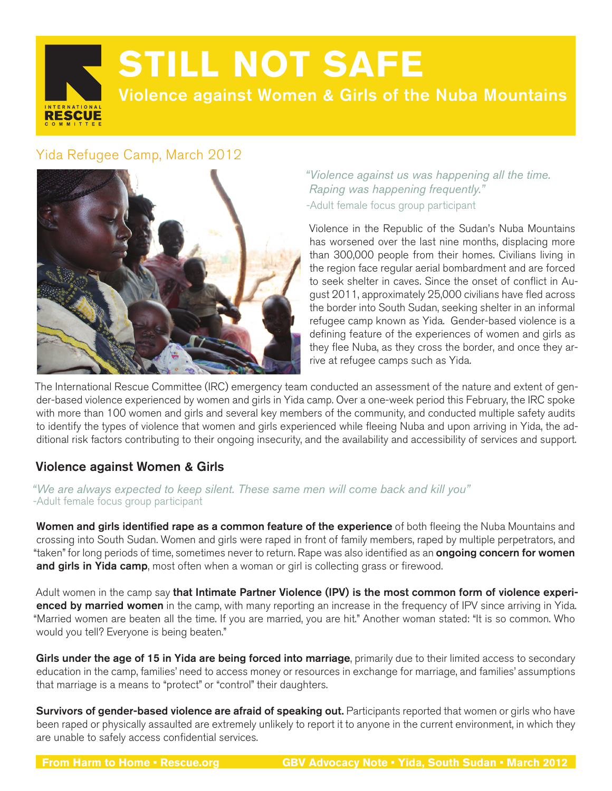**RESCUE** 

# **STILL NOT SAFE**

Violence against Women & Girls of the Nuba Mountains

## Yida Refugee Camp, March 2012



*"Violence against us was happening all the time. Raping was happening frequently."*  -Adult female focus group participant

Violence in the Republic of the Sudan's Nuba Mountains has worsened over the last nine months, displacing more than 300,000 people from their homes. Civilians living in the region face regular aerial bombardment and are forced to seek shelter in caves. Since the onset of conflict in August 2011, approximately 25,000 civilians have fled across the border into South Sudan, seeking shelter in an informal refugee camp known as Yida. Gender-based violence is a defining feature of the experiences of women and girls as they flee Nuba, as they cross the border, and once they arrive at refugee camps such as Yida.

The International Rescue Committee (IRC) emergency team conducted an assessment of the nature and extent of gender-based violence experienced by women and girls in Yida camp. Over a one-week period this February, the IRC spoke with more than 100 women and girls and several key members of the community, and conducted multiple safety audits to identify the types of violence that women and girls experienced while fleeing Nuba and upon arriving in Yida, the additional risk factors contributing to their ongoing insecurity, and the availability and accessibility of services and support.

### Violence against Women & Girls

*"We are always expected to keep silent. These same men will come back and kill you"*  -Adult female focus group participant

Women and girls identified rape as a common feature of the experience of both fleeing the Nuba Mountains and crossing into South Sudan. Women and girls were raped in front of family members, raped by multiple perpetrators, and "taken" for long periods of time, sometimes never to return. Rape was also identified as an **ongoing concern for women** and girls in Yida camp, most often when a woman or girl is collecting grass or firewood.

Adult women in the camp say that Intimate Partner Violence (IPV) is the most common form of violence experienced by married women in the camp, with many reporting an increase in the frequency of IPV since arriving in Yida. "Married women are beaten all the time. If you are married, you are hit." Another woman stated: "It is so common. Who would you tell? Everyone is being beaten."

Girls under the age of 15 in Yida are being forced into marriage, primarily due to their limited access to secondary education in the camp, families' need to access money or resources in exchange for marriage, and families' assumptions that marriage is a means to "protect" or "control" their daughters.

Survivors of gender-based violence are afraid of speaking out. Participants reported that women or girls who have been raped or physically assaulted are extremely unlikely to report it to anyone in the current environment, in which they are unable to safely access confidential services.